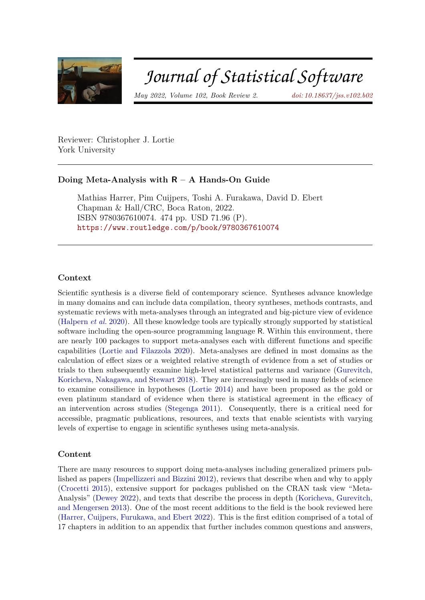

# Journal of Statistical Software

*May 2022, Volume 102, Book Review 2. [doi: 10.18637/jss.v102.b02](https://doi.org/10.18637/jss.v102.b02)*

Reviewer: Christopher J. Lortie York University

# **Doing Meta-Analysis with R – A Hands-On Guide**

Mathias Harrer, Pim Cuijpers, Toshi A. Furakawa, David D. Ebert Chapman & Hall/CRC, Boca Raton, 2022. ISBN 9780367610074. 474 pp. USD 71.96 (P). <https://www.routledge.com/p/book/9780367610074>

### **Context**

Scientific synthesis is a diverse field of contemporary science. Syntheses advance knowledge in many domains and can include data compilation, theory syntheses, methods contrasts, and systematic reviews with meta-analyses through an integrated and big-picture view of evidence [\(Halpern](#page-3-0) *et al.* [2020\)](#page-3-0). All these knowledge tools are typically strongly supported by statistical software including the open-source programming language R. Within this environment, there are nearly 100 packages to support meta-analyses each with different functions and specific capabilities [\(Lortie and Filazzola](#page-3-1) [2020\)](#page-3-1). Meta-analyses are defined in most domains as the calculation of effect sizes or a weighted relative strength of evidence from a set of studies or trials to then subsequently examine high-level statistical patterns and variance [\(Gurevitch,](#page-2-0) [Koricheva, Nakagawa, and Stewart](#page-2-0) [2018\)](#page-2-0). They are increasingly used in many fields of science to examine consilience in hypotheses [\(Lortie](#page-3-2) [2014\)](#page-3-2) and have been proposed as the gold or even platinum standard of evidence when there is statistical agreement in the efficacy of an intervention across studies [\(Stegenga](#page-3-3) [2011\)](#page-3-3). Consequently, there is a critical need for accessible, pragmatic publications, resources, and texts that enable scientists with varying levels of expertise to engage in scientific syntheses using meta-analysis.

## **Content**

There are many resources to support doing meta-analyses including generalized primers published as papers [\(Impellizzeri and Bizzini](#page-3-4) [2012\)](#page-3-4), reviews that describe when and why to apply [\(Crocetti](#page-2-1) [2015\)](#page-2-1), extensive support for packages published on the CRAN task view "Meta-Analysis" [\(Dewey](#page-2-2) [2022\)](#page-2-2), and texts that describe the process in depth [\(Koricheva, Gurevitch,](#page-3-5) [and Mengersen](#page-3-5) [2013\)](#page-3-5). One of the most recent additions to the field is the book reviewed here [\(Harrer, Cuijpers, Furukawa, and Ebert](#page-3-6) [2022\)](#page-3-6). This is the first edition comprised of a total of 17 chapters in addition to an appendix that further includes common questions and answers,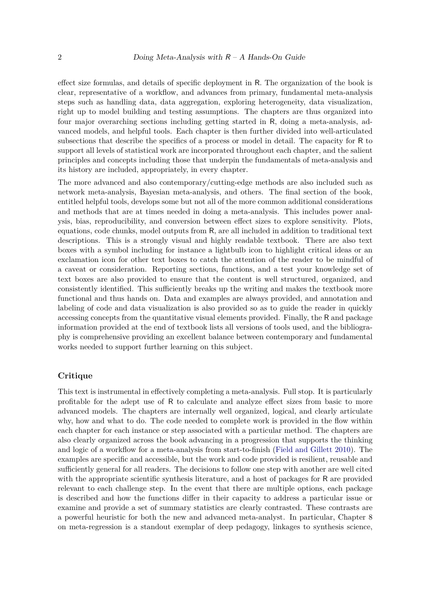effect size formulas, and details of specific deployment in R. The organization of the book is clear, representative of a workflow, and advances from primary, fundamental meta-analysis steps such as handling data, data aggregation, exploring heterogeneity, data visualization, right up to model building and testing assumptions. The chapters are thus organized into four major overarching sections including getting started in R, doing a meta-analysis, advanced models, and helpful tools. Each chapter is then further divided into well-articulated subsections that describe the specifics of a process or model in detail. The capacity for R to support all levels of statistical work are incorporated throughout each chapter, and the salient principles and concepts including those that underpin the fundamentals of meta-analysis and its history are included, appropriately, in every chapter.

The more advanced and also contemporary/cutting-edge methods are also included such as network meta-analysis, Bayesian meta-analysis, and others. The final section of the book, entitled helpful tools, develops some but not all of the more common additional considerations and methods that are at times needed in doing a meta-analysis. This includes power analysis, bias, reproducibility, and conversion between effect sizes to explore sensitivity. Plots, equations, code chunks, model outputs from R, are all included in addition to traditional text descriptions. This is a strongly visual and highly readable textbook. There are also text boxes with a symbol including for instance a lightbulb icon to highlight critical ideas or an exclamation icon for other text boxes to catch the attention of the reader to be mindful of a caveat or consideration. Reporting sections, functions, and a test your knowledge set of text boxes are also provided to ensure that the content is well structured, organized, and consistently identified. This sufficiently breaks up the writing and makes the textbook more functional and thus hands on. Data and examples are always provided, and annotation and labeling of code and data visualization is also provided so as to guide the reader in quickly accessing concepts from the quantitative visual elements provided. Finally, the R and package information provided at the end of textbook lists all versions of tools used, and the bibliography is comprehensive providing an excellent balance between contemporary and fundamental works needed to support further learning on this subject.

#### **Critique**

This text is instrumental in effectively completing a meta-analysis. Full stop. It is particularly profitable for the adept use of R to calculate and analyze effect sizes from basic to more advanced models. The chapters are internally well organized, logical, and clearly articulate why, how and what to do. The code needed to complete work is provided in the flow within each chapter for each instance or step associated with a particular method. The chapters are also clearly organized across the book advancing in a progression that supports the thinking and logic of a workflow for a meta-analysis from start-to-finish [\(Field and Gillett](#page-2-3) [2010\)](#page-2-3). The examples are specific and accessible, but the work and code provided is resilient, reusable and sufficiently general for all readers. The decisions to follow one step with another are well cited with the appropriate scientific synthesis literature, and a host of packages for R are provided relevant to each challenge step. In the event that there are multiple options, each package is described and how the functions differ in their capacity to address a particular issue or examine and provide a set of summary statistics are clearly contrasted. These contrasts are a powerful heuristic for both the new and advanced meta-analyst. In particular, Chapter 8 on meta-regression is a standout exemplar of deep pedagogy, linkages to synthesis science,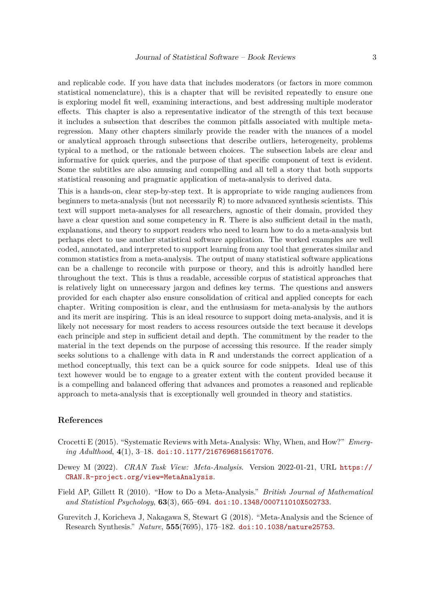and replicable code. If you have data that includes moderators (or factors in more common statistical nomenclature), this is a chapter that will be revisited repeatedly to ensure one is exploring model fit well, examining interactions, and best addressing multiple moderator effects. This chapter is also a representative indicator of the strength of this text because it includes a subsection that describes the common pitfalls associated with multiple metaregression. Many other chapters similarly provide the reader with the nuances of a model or analytical approach through subsections that describe outliers, heterogeneity, problems typical to a method, or the rationale between choices. The subsection labels are clear and informative for quick queries, and the purpose of that specific component of text is evident. Some the subtitles are also amusing and compelling and all tell a story that both supports statistical reasoning and pragmatic application of meta-analysis to derived data.

This is a hands-on, clear step-by-step text. It is appropriate to wide ranging audiences from beginners to meta-analysis (but not necessarily R) to more advanced synthesis scientists. This text will support meta-analyses for all researchers, agnostic of their domain, provided they have a clear question and some competency in R. There is also sufficient detail in the math, explanations, and theory to support readers who need to learn how to do a meta-analysis but perhaps elect to use another statistical software application. The worked examples are well coded, annotated, and interpreted to support learning from any tool that generates similar and common statistics from a meta-analysis. The output of many statistical software applications can be a challenge to reconcile with purpose or theory, and this is adroitly handled here throughout the text. This is thus a readable, accessible corpus of statistical approaches that is relatively light on unnecessary jargon and defines key terms. The questions and answers provided for each chapter also ensure consolidation of critical and applied concepts for each chapter. Writing composition is clear, and the enthusiasm for meta-analysis by the authors and its merit are inspiring. This is an ideal resource to support doing meta-analysis, and it is likely not necessary for most readers to access resources outside the text because it develops each principle and step in sufficient detail and depth. The commitment by the reader to the material in the text depends on the purpose of accessing this resource. If the reader simply seeks solutions to a challenge with data in R and understands the correct application of a method conceptually, this text can be a quick source for code snippets. Ideal use of this text however would be to engage to a greater extent with the content provided because it is a compelling and balanced offering that advances and promotes a reasoned and replicable approach to meta-analysis that is exceptionally well grounded in theory and statistics.

#### **References**

- <span id="page-2-1"></span>Crocetti E (2015). "Systematic Reviews with Meta-Analysis: Why, When, and How?" *Emerging Adulthood*, **4**(1), 3–18. [doi:10.1177/2167696815617076](https://doi.org/10.1177/2167696815617076).
- <span id="page-2-2"></span>Dewey M (2022). *CRAN Task View: Meta-Analysis*. Version 2022-01-21, URL [https://](https://CRAN.R-project.org/view=MetaAnalysis) [CRAN.R-project.org/view=MetaAnalysis](https://CRAN.R-project.org/view=MetaAnalysis).
- <span id="page-2-3"></span>Field AP, Gillett R (2010). "How to Do a Meta-Analysis." *British Journal of Mathematical and Statistical Psychology*, **63**(3), 665–694. [doi:10.1348/000711010X502733](https://doi.org/10.1348/000711010X502733).

<span id="page-2-0"></span>Gurevitch J, Koricheva J, Nakagawa S, Stewart G (2018). "Meta-Analysis and the Science of Research Synthesis." *Nature*, **555**(7695), 175–182. [doi:10.1038/nature25753](https://doi.org/10.1038/nature25753).